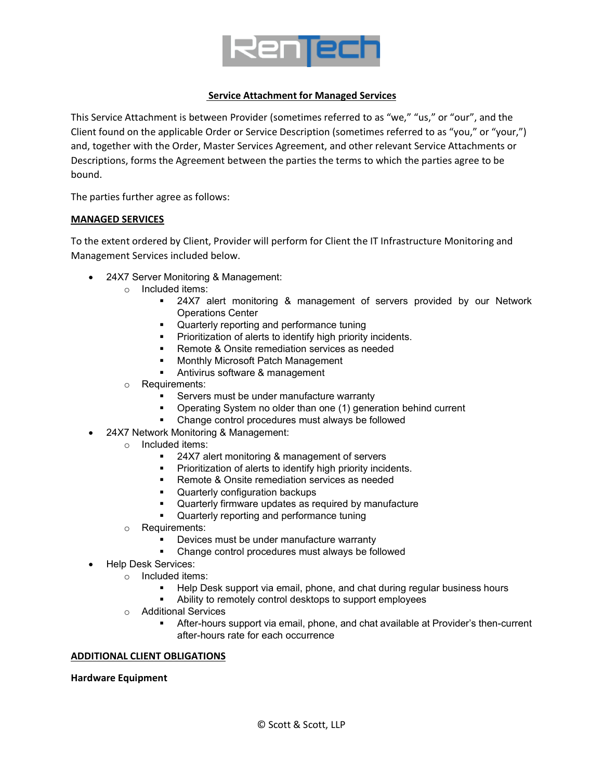

### **Service Attachment for Managed Services**

This Service Attachment is between Provider (sometimes referred to as "we," "us," or "our", and the Client found on the applicable Order or Service Description (sometimes referred to as "you," or "your,") and, together with the Order, Master Services Agreement, and other relevant Service Attachments or Descriptions, forms the Agreement between the parties the terms to which the parties agree to be bound.

The parties further agree as follows:

#### **MANAGED SERVICES**

To the extent ordered by Client, Provider will perform for Client the IT Infrastructure Monitoring and Management Services included below.

- 24X7 Server Monitoring & Management:
	- o Included items:
		- 24X7 alert monitoring & management of servers provided by our Network Operations Center
		- **•** Quarterly reporting and performance tuning
		- **Prioritization of alerts to identify high priority incidents.**
		- Remote & Onsite remediation services as needed
		- Monthly Microsoft Patch Management
		- **Antivirus software & management**
	- o Requirements:
		- **Servers must be under manufacture warranty**
		- Operating System no older than one (1) generation behind current
		- Change control procedures must always be followed
- 24X7 Network Monitoring & Management:
	- o Included items:
		- 24X7 alert monitoring & management of servers
		- Prioritization of alerts to identify high priority incidents.
		- Remote & Onsite remediation services as needed
		- Quarterly configuration backups
		- Quarterly firmware updates as required by manufacture
		- Quarterly reporting and performance tuning
	- o Requirements:
		- Devices must be under manufacture warranty
		- Change control procedures must always be followed
- Help Desk Services:
	- o Included items:
		- **Help Desk support via email, phone, and chat during regular business hours**
		- Ability to remotely control desktops to support employees
	- o Additional Services
		- After-hours support via email, phone, and chat available at Provider's then-current after-hours rate for each occurrence

#### **ADDITIONAL CLIENT OBLIGATIONS**

**Hardware Equipment**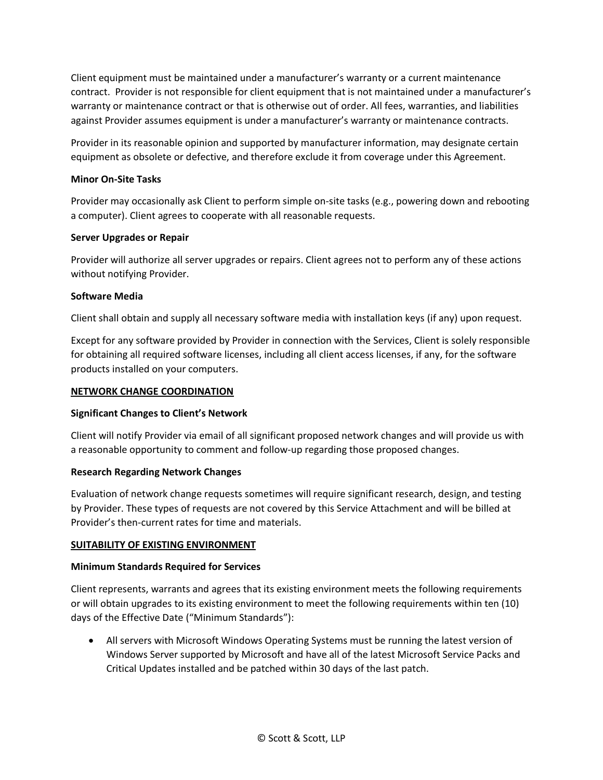Client equipment must be maintained under a manufacturer's warranty or a current maintenance contract. Provider is not responsible for client equipment that is not maintained under a manufacturer's warranty or maintenance contract or that is otherwise out of order. All fees, warranties, and liabilities against Provider assumes equipment is under a manufacturer's warranty or maintenance contracts.

Provider in its reasonable opinion and supported by manufacturer information, may designate certain equipment as obsolete or defective, and therefore exclude it from coverage under this Agreement.

### **Minor On-Site Tasks**

Provider may occasionally ask Client to perform simple on-site tasks (e.g., powering down and rebooting a computer). Client agrees to cooperate with all reasonable requests.

#### **Server Upgrades or Repair**

Provider will authorize all server upgrades or repairs. Client agrees not to perform any of these actions without notifying Provider.

### **Software Media**

Client shall obtain and supply all necessary software media with installation keys (if any) upon request.

Except for any software provided by Provider in connection with the Services, Client is solely responsible for obtaining all required software licenses, including all client access licenses, if any, for the software products installed on your computers.

#### **NETWORK CHANGE COORDINATION**

#### **Significant Changes to Client's Network**

Client will notify Provider via email of all significant proposed network changes and will provide us with a reasonable opportunity to comment and follow-up regarding those proposed changes.

#### **Research Regarding Network Changes**

Evaluation of network change requests sometimes will require significant research, design, and testing by Provider. These types of requests are not covered by this Service Attachment and will be billed at Provider's then-current rates for time and materials.

# **SUITABILITY OF EXISTING ENVIRONMENT**

# **Minimum Standards Required for Services**

Client represents, warrants and agrees that its existing environment meets the following requirements or will obtain upgrades to its existing environment to meet the following requirements within ten (10) days of the Effective Date ("Minimum Standards"):

• All servers with Microsoft Windows Operating Systems must be running the latest version of Windows Server supported by Microsoft and have all of the latest Microsoft Service Packs and Critical Updates installed and be patched within 30 days of the last patch.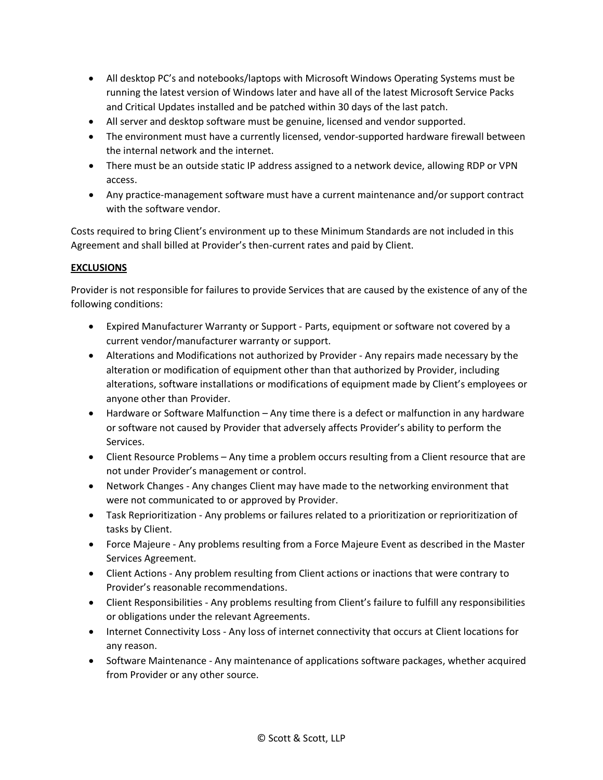- All desktop PC's and notebooks/laptops with Microsoft Windows Operating Systems must be running the latest version of Windows later and have all of the latest Microsoft Service Packs and Critical Updates installed and be patched within 30 days of the last patch.
- All server and desktop software must be genuine, licensed and vendor supported.
- The environment must have a currently licensed, vendor-supported hardware firewall between the internal network and the internet.
- There must be an outside static IP address assigned to a network device, allowing RDP or VPN access.
- Any practice-management software must have a current maintenance and/or support contract with the software vendor.

Costs required to bring Client's environment up to these Minimum Standards are not included in this Agreement and shall billed at Provider's then-current rates and paid by Client.

# **EXCLUSIONS**

Provider is not responsible for failures to provide Services that are caused by the existence of any of the following conditions:

- Expired Manufacturer Warranty or Support Parts, equipment or software not covered by a current vendor/manufacturer warranty or support.
- Alterations and Modifications not authorized by Provider Any repairs made necessary by the alteration or modification of equipment other than that authorized by Provider, including alterations, software installations or modifications of equipment made by Client's employees or anyone other than Provider.
- Hardware or Software Malfunction Any time there is a defect or malfunction in any hardware or software not caused by Provider that adversely affects Provider's ability to perform the Services.
- Client Resource Problems Any time a problem occurs resulting from a Client resource that are not under Provider's management or control.
- Network Changes Any changes Client may have made to the networking environment that were not communicated to or approved by Provider.
- Task Reprioritization Any problems or failures related to a prioritization or reprioritization of tasks by Client.
- Force Majeure Any problems resulting from a Force Majeure Event as described in the Master Services Agreement.
- Client Actions Any problem resulting from Client actions or inactions that were contrary to Provider's reasonable recommendations.
- Client Responsibilities Any problems resulting from Client's failure to fulfill any responsibilities or obligations under the relevant Agreements.
- Internet Connectivity Loss Any loss of internet connectivity that occurs at Client locations for any reason.
- Software Maintenance Any maintenance of applications software packages, whether acquired from Provider or any other source.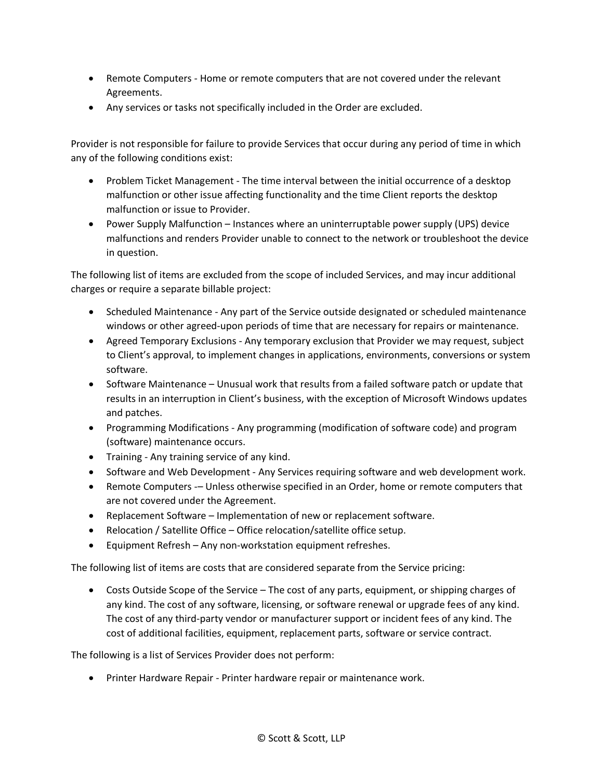- Remote Computers Home or remote computers that are not covered under the relevant Agreements.
- Any services or tasks not specifically included in the Order are excluded.

Provider is not responsible for failure to provide Services that occur during any period of time in which any of the following conditions exist:

- Problem Ticket Management The time interval between the initial occurrence of a desktop malfunction or other issue affecting functionality and the time Client reports the desktop malfunction or issue to Provider.
- Power Supply Malfunction Instances where an uninterruptable power supply (UPS) device malfunctions and renders Provider unable to connect to the network or troubleshoot the device in question.

The following list of items are excluded from the scope of included Services, and may incur additional charges or require a separate billable project:

- Scheduled Maintenance Any part of the Service outside designated or scheduled maintenance windows or other agreed-upon periods of time that are necessary for repairs or maintenance.
- Agreed Temporary Exclusions Any temporary exclusion that Provider we may request, subject to Client's approval, to implement changes in applications, environments, conversions or system software.
- Software Maintenance Unusual work that results from a failed software patch or update that results in an interruption in Client's business, with the exception of Microsoft Windows updates and patches.
- Programming Modifications Any programming (modification of software code) and program (software) maintenance occurs.
- Training Any training service of any kind.
- Software and Web Development Any Services requiring software and web development work.
- Remote Computers -– Unless otherwise specified in an Order, home or remote computers that are not covered under the Agreement.
- Replacement Software Implementation of new or replacement software.
- Relocation / Satellite Office Office relocation/satellite office setup.
- Equipment Refresh Any non-workstation equipment refreshes.

The following list of items are costs that are considered separate from the Service pricing:

• Costs Outside Scope of the Service – The cost of any parts, equipment, or shipping charges of any kind. The cost of any software, licensing, or software renewal or upgrade fees of any kind. The cost of any third-party vendor or manufacturer support or incident fees of any kind. The cost of additional facilities, equipment, replacement parts, software or service contract.

The following is a list of Services Provider does not perform:

• Printer Hardware Repair - Printer hardware repair or maintenance work.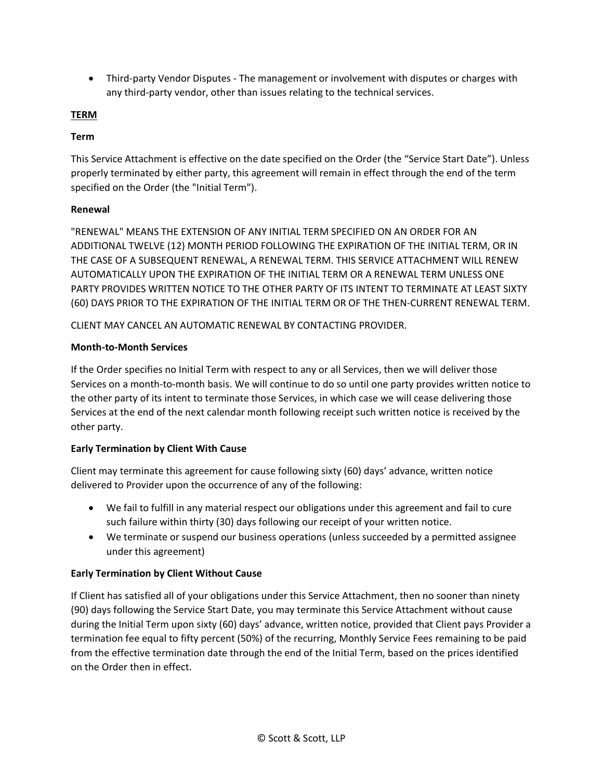• Third-party Vendor Disputes - The management or involvement with disputes or charges with any third-party vendor, other than issues relating to the technical services.

## **TERM**

### **Term**

This Service Attachment is effective on the date specified on the Order (the "Service Start Date"). Unless properly terminated by either party, this agreement will remain in effect through the end of the term specified on the Order (the "Initial Term").

### **Renewal**

"RENEWAL" MEANS THE EXTENSION OF ANY INITIAL TERM SPECIFIED ON AN ORDER FOR AN ADDITIONAL TWELVE (12) MONTH PERIOD FOLLOWING THE EXPIRATION OF THE INITIAL TERM, OR IN THE CASE OF A SUBSEQUENT RENEWAL, A RENEWAL TERM. THIS SERVICE ATTACHMENT WILL RENEW AUTOMATICALLY UPON THE EXPIRATION OF THE INITIAL TERM OR A RENEWAL TERM UNLESS ONE PARTY PROVIDES WRITTEN NOTICE TO THE OTHER PARTY OF ITS INTENT TO TERMINATE AT LEAST SIXTY (60) DAYS PRIOR TO THE EXPIRATION OF THE INITIAL TERM OR OF THE THEN-CURRENT RENEWAL TERM.

CLIENT MAY CANCEL AN AUTOMATIC RENEWAL BY CONTACTING PROVIDER.

### **Month-to-Month Services**

If the Order specifies no Initial Term with respect to any or all Services, then we will deliver those Services on a month-to-month basis. We will continue to do so until one party provides written notice to the other party of its intent to terminate those Services, in which case we will cease delivering those Services at the end of the next calendar month following receipt such written notice is received by the other party.

#### **Early Termination by Client With Cause**

Client may terminate this agreement for cause following sixty (60) days' advance, written notice delivered to Provider upon the occurrence of any of the following:

- We fail to fulfill in any material respect our obligations under this agreement and fail to cure such failure within thirty (30) days following our receipt of your written notice.
- We terminate or suspend our business operations (unless succeeded by a permitted assignee under this agreement)

# **Early Termination by Client Without Cause**

If Client has satisfied all of your obligations under this Service Attachment, then no sooner than ninety (90) days following the Service Start Date, you may terminate this Service Attachment without cause during the Initial Term upon sixty (60) days' advance, written notice, provided that Client pays Provider a termination fee equal to fifty percent (50%) of the recurring, Monthly Service Fees remaining to be paid from the effective termination date through the end of the Initial Term, based on the prices identified on the Order then in effect.